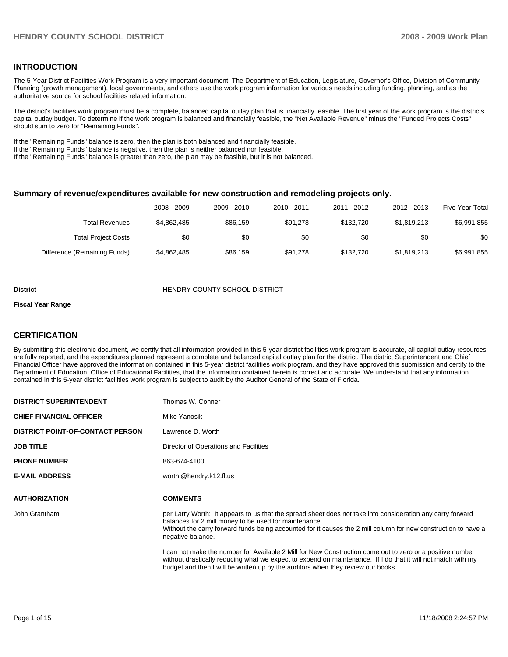## **INTRODUCTION**

The 5-Year District Facilities Work Program is a very important document. The Department of Education, Legislature, Governor's Office, Division of Community Planning (growth management), local governments, and others use the work program information for various needs including funding, planning, and as the authoritative source for school facilities related information.

The district's facilities work program must be a complete, balanced capital outlay plan that is financially feasible. The first year of the work program is the districts capital outlay budget. To determine if the work program is balanced and financially feasible, the "Net Available Revenue" minus the "Funded Projects Costs" should sum to zero for "Remaining Funds".

If the "Remaining Funds" balance is zero, then the plan is both balanced and financially feasible.

If the "Remaining Funds" balance is negative, then the plan is neither balanced nor feasible.

If the "Remaining Funds" balance is greater than zero, the plan may be feasible, but it is not balanced.

#### **Summary of revenue/expenditures available for new construction and remodeling projects only.**

| <b>Five Year Total</b> | 2012 - 2013 | 2011 - 2012 | 2010 - 2011 | 2009 - 2010 | 2008 - 2009 |                              |
|------------------------|-------------|-------------|-------------|-------------|-------------|------------------------------|
| \$6,991,855            | \$1,819,213 | \$132,720   | \$91.278    | \$86.159    | \$4,862,485 | Total Revenues               |
| \$0                    | \$0         | \$0         | \$0         | \$0         | \$0         | <b>Total Project Costs</b>   |
| \$6,991,855            | \$1,819,213 | \$132,720   | \$91.278    | \$86,159    | \$4,862,485 | Difference (Remaining Funds) |

#### **District COUNTY SCHOOL DISTRICT**

#### **Fiscal Year Range**

#### **CERTIFICATION**

By submitting this electronic document, we certify that all information provided in this 5-year district facilities work program is accurate, all capital outlay resources are fully reported, and the expenditures planned represent a complete and balanced capital outlay plan for the district. The district Superintendent and Chief Financial Officer have approved the information contained in this 5-year district facilities work program, and they have approved this submission and certify to the Department of Education, Office of Educational Facilities, that the information contained herein is correct and accurate. We understand that any information contained in this 5-year district facilities work program is subject to audit by the Auditor General of the State of Florida.

| <b>DISTRICT SUPERINTENDENT</b>          | Thomas W. Conner                                                                                                                                                                                                                                                                                           |
|-----------------------------------------|------------------------------------------------------------------------------------------------------------------------------------------------------------------------------------------------------------------------------------------------------------------------------------------------------------|
| <b>CHIEF FINANCIAL OFFICER</b>          | Mike Yanosik                                                                                                                                                                                                                                                                                               |
| <b>DISTRICT POINT-OF-CONTACT PERSON</b> | Lawrence D. Worth                                                                                                                                                                                                                                                                                          |
| <b>JOB TITLE</b>                        | Director of Operations and Facilities                                                                                                                                                                                                                                                                      |
| <b>PHONE NUMBER</b>                     | 863-674-4100                                                                                                                                                                                                                                                                                               |
| <b>E-MAIL ADDRESS</b>                   | worth @hendry.k12.fl.us                                                                                                                                                                                                                                                                                    |
|                                         |                                                                                                                                                                                                                                                                                                            |
| <b>AUTHORIZATION</b>                    | <b>COMMENTS</b>                                                                                                                                                                                                                                                                                            |
| John Grantham                           | per Larry Worth: It appears to us that the spread sheet does not take into consideration any carry forward<br>balances for 2 mill money to be used for maintenance.<br>Without the carry forward funds being accounted for it causes the 2 mill column for new construction to have a<br>negative balance. |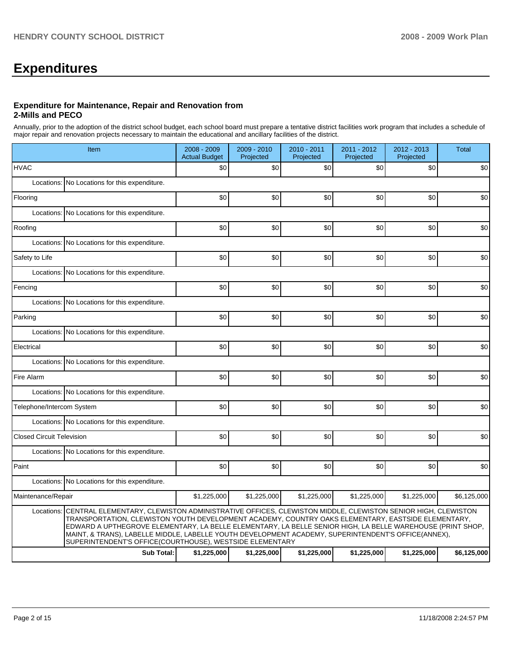# **Expenditures**

#### **Expenditure for Maintenance, Repair and Renovation from 2-Mills and PECO**

Annually, prior to the adoption of the district school budget, each school board must prepare a tentative district facilities work program that includes a schedule of major repair and renovation projects necessary to maintain the educational and ancillary facilities of the district.

|                                  | Item                                                                                                                                                                                                                                                                                                                                                                                                                                                                                            | 2008 - 2009<br><b>Actual Budget</b> | 2009 - 2010<br>Projected | 2010 - 2011<br>Projected | 2011 - 2012<br>Projected | 2012 - 2013<br>Projected | <b>Total</b> |
|----------------------------------|-------------------------------------------------------------------------------------------------------------------------------------------------------------------------------------------------------------------------------------------------------------------------------------------------------------------------------------------------------------------------------------------------------------------------------------------------------------------------------------------------|-------------------------------------|--------------------------|--------------------------|--------------------------|--------------------------|--------------|
| <b>HVAC</b>                      |                                                                                                                                                                                                                                                                                                                                                                                                                                                                                                 | \$0                                 | \$0                      | \$0                      | \$0                      | \$0                      | \$0          |
|                                  | Locations: No Locations for this expenditure.                                                                                                                                                                                                                                                                                                                                                                                                                                                   |                                     |                          |                          |                          |                          |              |
| Flooring                         |                                                                                                                                                                                                                                                                                                                                                                                                                                                                                                 | \$0                                 | \$0                      | \$0                      | \$0                      | \$0                      | \$0          |
|                                  | Locations: No Locations for this expenditure.                                                                                                                                                                                                                                                                                                                                                                                                                                                   |                                     |                          |                          |                          |                          |              |
| Roofing                          |                                                                                                                                                                                                                                                                                                                                                                                                                                                                                                 | \$0                                 | \$0                      | \$0                      | \$0                      | \$0                      | \$0          |
|                                  | Locations: No Locations for this expenditure.                                                                                                                                                                                                                                                                                                                                                                                                                                                   |                                     |                          |                          |                          |                          |              |
| Safety to Life                   |                                                                                                                                                                                                                                                                                                                                                                                                                                                                                                 | \$0                                 | \$0                      | \$0                      | \$0                      | \$0                      | \$0          |
|                                  | Locations: No Locations for this expenditure.                                                                                                                                                                                                                                                                                                                                                                                                                                                   |                                     |                          |                          |                          |                          |              |
| Fencing                          |                                                                                                                                                                                                                                                                                                                                                                                                                                                                                                 | \$0                                 | \$0                      | \$0                      | \$0                      | \$0                      | \$0          |
|                                  | Locations: No Locations for this expenditure.                                                                                                                                                                                                                                                                                                                                                                                                                                                   |                                     |                          |                          |                          |                          |              |
| Parking                          |                                                                                                                                                                                                                                                                                                                                                                                                                                                                                                 | \$0                                 | \$0                      | \$0                      | \$0                      | \$0                      | \$0          |
|                                  | Locations: No Locations for this expenditure.                                                                                                                                                                                                                                                                                                                                                                                                                                                   |                                     |                          |                          |                          |                          |              |
| Electrical                       |                                                                                                                                                                                                                                                                                                                                                                                                                                                                                                 | \$0                                 | \$0                      | \$0                      | \$0                      | \$0                      | \$0          |
|                                  | Locations: No Locations for this expenditure.                                                                                                                                                                                                                                                                                                                                                                                                                                                   |                                     |                          |                          |                          |                          |              |
| Fire Alarm                       |                                                                                                                                                                                                                                                                                                                                                                                                                                                                                                 | \$0                                 | \$0                      | \$0                      | \$0                      | \$0                      | \$0          |
|                                  | Locations: No Locations for this expenditure.                                                                                                                                                                                                                                                                                                                                                                                                                                                   |                                     |                          |                          |                          |                          |              |
| Telephone/Intercom System        |                                                                                                                                                                                                                                                                                                                                                                                                                                                                                                 | \$0                                 | \$0                      | \$0                      | \$0                      | \$0                      | \$0          |
|                                  | Locations: No Locations for this expenditure.                                                                                                                                                                                                                                                                                                                                                                                                                                                   |                                     |                          |                          |                          |                          |              |
| <b>Closed Circuit Television</b> |                                                                                                                                                                                                                                                                                                                                                                                                                                                                                                 | \$0                                 | \$0                      | \$0                      | \$0                      | \$0                      | \$0          |
|                                  | Locations: No Locations for this expenditure.                                                                                                                                                                                                                                                                                                                                                                                                                                                   |                                     |                          |                          |                          |                          |              |
| Paint                            |                                                                                                                                                                                                                                                                                                                                                                                                                                                                                                 | \$0                                 | \$0                      | \$0                      | \$0                      | \$0                      | \$0          |
|                                  | Locations: No Locations for this expenditure.                                                                                                                                                                                                                                                                                                                                                                                                                                                   |                                     |                          |                          |                          |                          |              |
| Maintenance/Repair               |                                                                                                                                                                                                                                                                                                                                                                                                                                                                                                 | \$1,225,000                         | \$1,225,000              | \$1,225,000              | \$1,225,000              | \$1,225,000              | \$6,125,000  |
| Locations:                       | CENTRAL ELEMENTARY, CLEWISTON ADMINISTRATIVE OFFICES, CLEWISTON MIDDLE, CLEWISTON SENIOR HIGH, CLEWISTON<br>TRANSPORTATION, CLEWISTON YOUTH DEVELOPMENT ACADEMY, COUNTRY OAKS ELEMENTARY, EASTSIDE ELEMENTARY,<br>EDWARD A UPTHEGROVE ELEMENTARY, LA BELLE ELEMENTARY, LA BELLE SENIOR HIGH, LA BELLE WAREHOUSE (PRINT SHOP,<br>MAINT, & TRANS), LABELLE MIDDLE, LABELLE YOUTH DEVELOPMENT ACADEMY, SUPERINTENDENT'S OFFICE(ANNEX),<br>SUPERINTENDENT'S OFFICE(COURTHOUSE), WESTSIDE ELEMENTARY |                                     |                          |                          |                          |                          |              |
|                                  | <b>Sub Total:</b>                                                                                                                                                                                                                                                                                                                                                                                                                                                                               | \$1,225,000                         | \$1,225,000              | \$1,225,000              | \$1,225,000              | \$1,225,000              | \$6,125,000  |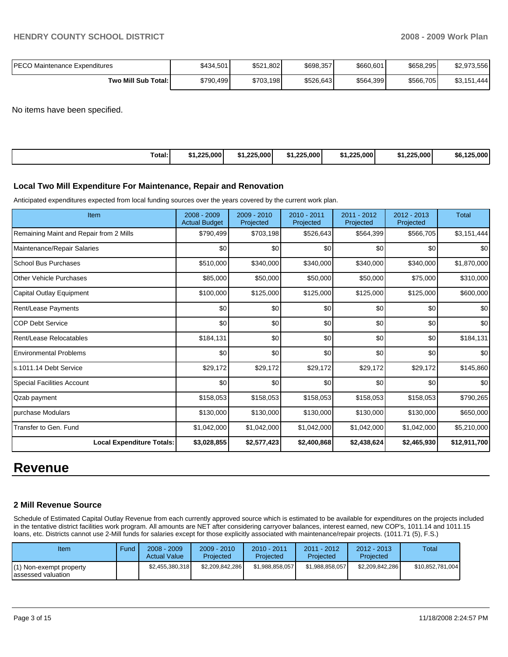| IPECO Maintenance Expenditures | \$434,501 | \$521,802 | \$698,357 | \$660,601 | \$658,295 | \$2,973,556 |
|--------------------------------|-----------|-----------|-----------|-----------|-----------|-------------|
| Two Mill Sub Total:            | \$790,499 | \$703,198 | \$526,643 | \$564,399 | \$566,705 | \$3,151,444 |

No items have been specified.

| Total:<br>\$1.225,000<br>.1.225.000<br>1.225.000'<br>.225.000<br>1.225.000<br>-5.000<br>$\overline{AB}$<br>. .<br>\$6.<br>-4<br>- 51<br>. |
|-------------------------------------------------------------------------------------------------------------------------------------------|
|-------------------------------------------------------------------------------------------------------------------------------------------|

#### **Local Two Mill Expenditure For Maintenance, Repair and Renovation**

Anticipated expenditures expected from local funding sources over the years covered by the current work plan.

| Item                                    | 2008 - 2009<br><b>Actual Budget</b> | 2009 - 2010<br>Projected | 2010 - 2011<br>Projected | 2011 - 2012<br>Projected | $2012 - 2013$<br>Projected | <b>Total</b>     |
|-----------------------------------------|-------------------------------------|--------------------------|--------------------------|--------------------------|----------------------------|------------------|
| Remaining Maint and Repair from 2 Mills | \$790,499                           | \$703,198                | \$526,643                | \$564,399                | \$566,705                  | \$3,151,444      |
| Maintenance/Repair Salaries             | \$0                                 | \$0                      | \$0                      | \$0                      | \$0                        | \$0              |
| <b>School Bus Purchases</b>             | \$510,000                           | \$340,000                | \$340,000                | \$340,000                | \$340,000                  | \$1,870,000      |
| <b>Other Vehicle Purchases</b>          | \$85,000                            | \$50,000                 | \$50,000                 | \$50,000                 | \$75,000                   | \$310,000        |
| Capital Outlay Equipment                | \$100,000                           | \$125,000                | \$125,000                | \$125,000                | \$125,000                  | \$600,000        |
| Rent/Lease Payments                     | \$0                                 | \$0                      | \$0                      | \$0                      | \$0                        | \$0 <sub>1</sub> |
| <b>COP Debt Service</b>                 | \$0                                 | \$0                      | \$0                      | \$0                      | \$0                        | \$0              |
| Rent/Lease Relocatables                 | \$184,131                           | \$0                      | \$0                      | \$0                      | \$0                        | \$184,131        |
| <b>Environmental Problems</b>           | \$0                                 | \$0                      | \$0                      | \$0                      | \$0                        | \$0              |
| ls.1011.14 Debt Service                 | \$29,172                            | \$29,172                 | \$29,172                 | \$29,172                 | \$29,172                   | \$145,860        |
| <b>Special Facilities Account</b>       | \$0                                 | \$0                      | \$0                      | \$0                      | \$0                        | \$0              |
| Qzab payment                            | \$158,053                           | \$158,053                | \$158,053                | \$158,053                | \$158,053                  | \$790,265        |
| purchase Modulars                       | \$130,000                           | \$130,000                | \$130,000                | \$130,000                | \$130,000                  | \$650,000        |
| Transfer to Gen. Fund                   | \$1,042,000                         | \$1,042,000              | \$1,042,000              | \$1,042,000              | \$1,042,000                | \$5,210,000      |
| <b>Local Expenditure Totals:</b>        | \$3,028,855                         | \$2,577,423              | \$2,400,868              | \$2,438,624              | \$2,465,930                | \$12,911,700     |

# **Revenue**

#### **2 Mill Revenue Source**

Schedule of Estimated Capital Outlay Revenue from each currently approved source which is estimated to be available for expenditures on the projects included in the tentative district facilities work program. All amounts are NET after considering carryover balances, interest earned, new COP's, 1011.14 and 1011.15 loans, etc. Districts cannot use 2-Mill funds for salaries except for those explicitly associated with maintenance/repair projects. (1011.71 (5), F.S.)

| Item                                            | Fund | $2008 - 2009$<br><b>Actual Value</b> | $2009 - 2010$<br>Projected | $2010 - 2011$<br>Projected | 2011 - 2012<br>Projected | $2012 - 2013$<br>Projected | Total            |
|-------------------------------------------------|------|--------------------------------------|----------------------------|----------------------------|--------------------------|----------------------------|------------------|
| (1) Non-exempt property<br>lassessed valuation_ |      | \$2,455,380,318                      | \$2,209,842,286            | \$1.988.858.057            | \$1,988,858,057          | \$2,209,842,286            | \$10,852,781,004 |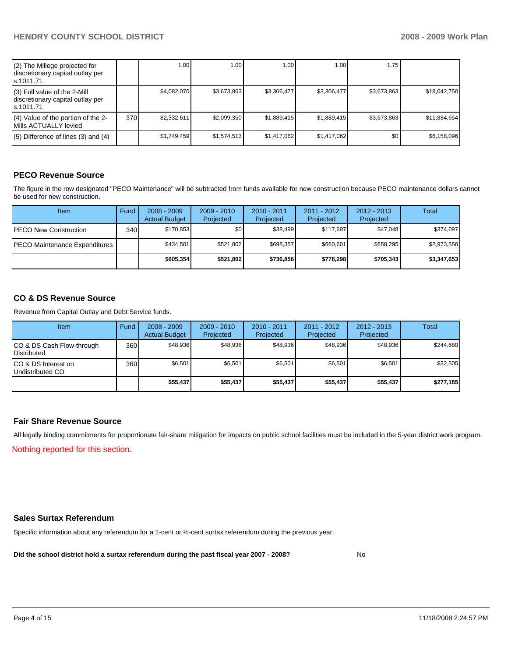| (2) The Millege projected for<br>discretionary capital outlay per<br>s.1011.71 |       | 1.00        | 1.00 <sub>1</sub> | 1.00        | 1.00        | 1.75        |              |
|--------------------------------------------------------------------------------|-------|-------------|-------------------|-------------|-------------|-------------|--------------|
| (3) Full value of the 2-Mill<br>discretionary capital outlay per<br>ls.1011.71 |       | \$4,082,070 | \$3,673,863       | \$3,306,477 | \$3,306,477 | \$3,673,863 | \$18,042,750 |
| (4) Value of the portion of the 2-<br>Mills ACTUALLY levied                    | 370 l | \$2,332.611 | \$2,099,350       | \$1,889,415 | \$1,889,415 | \$3,673,863 | \$11,884,654 |
| $(5)$ Difference of lines (3) and (4)                                          |       | \$1,749,459 | \$1,574,513       | \$1,417,062 | \$1,417,062 | \$0         | \$6,158,096  |

# **PECO Revenue Source**

The figure in the row designated "PECO Maintenance" will be subtracted from funds available for new construction because PECO maintenance dollars cannot be used for new construction.

| <b>Item</b>                           | Fund             | $2008 - 2009$<br><b>Actual Budget</b> | $2009 - 2010$<br>Projected | $2010 - 2011$<br>Projected | $2011 - 2012$<br>Projected | $2012 - 2013$<br>Projected | Total       |
|---------------------------------------|------------------|---------------------------------------|----------------------------|----------------------------|----------------------------|----------------------------|-------------|
| IPECO New Construction                | 340 <sub>l</sub> | \$170.853                             | \$0                        | \$38,499                   | \$117.697                  | \$47,048                   | \$374.097   |
| <b>IPECO Maintenance Expenditures</b> |                  | \$434.501                             | \$521,802                  | \$698.357                  | \$660.601                  | \$658.295                  | \$2,973,556 |
|                                       |                  | \$605.354                             | \$521,802                  | \$736.856                  | \$778.298                  | \$705,343                  | \$3,347,653 |

# **CO & DS Revenue Source**

Revenue from Capital Outlay and Debt Service funds.

| Item                                            | Fund | $2008 - 2009$<br><b>Actual Budget</b> | $2009 - 2010$<br>Projected | $2010 - 2011$<br>Projected | 2011 - 2012<br>Projected | $2012 - 2013$<br>Projected | Total     |
|-------------------------------------------------|------|---------------------------------------|----------------------------|----------------------------|--------------------------|----------------------------|-----------|
| CO & DS Cash Flow-through<br><b>Distributed</b> | 360  | \$48.936                              | \$48.936                   | \$48.936                   | \$48.936                 | \$48.936                   | \$244,680 |
| CO & DS Interest on<br>Undistributed CO         | 360  | \$6,501                               | \$6,501                    | \$6,501                    | \$6,501                  | \$6,501                    | \$32,505  |
|                                                 |      | \$55,437                              | \$55,437                   | \$55,437                   | \$55,437                 | \$55,437                   | \$277,185 |

#### **Fair Share Revenue Source**

All legally binding commitments for proportionate fair-share mitigation for impacts on public school facilities must be included in the 5-year district work program. Nothing reported for this section.

#### **Sales Surtax Referendum**

Specific information about any referendum for a 1-cent or ½-cent surtax referendum during the previous year.

**Did the school district hold a surtax referendum during the past fiscal year 2007 - 2008?** No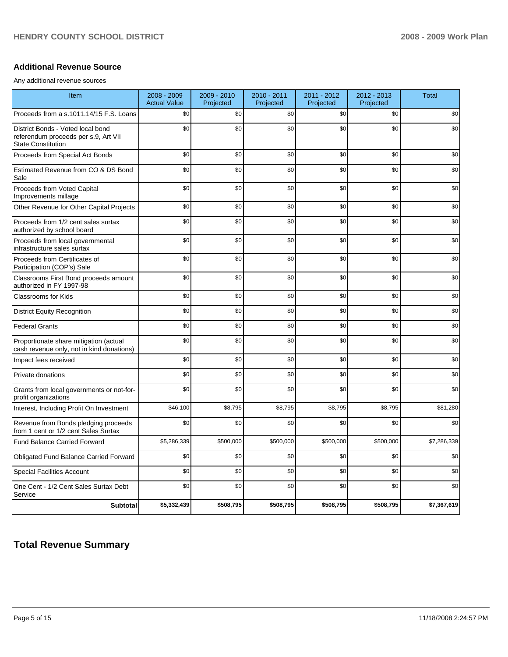## **Additional Revenue Source**

Any additional revenue sources

| Item                                                                                                   | $2008 - 2009$<br><b>Actual Value</b> | 2009 - 2010<br>Projected | 2010 - 2011<br>Projected | 2011 - 2012<br>Projected | 2012 - 2013<br>Projected | <b>Total</b> |
|--------------------------------------------------------------------------------------------------------|--------------------------------------|--------------------------|--------------------------|--------------------------|--------------------------|--------------|
| Proceeds from a s.1011.14/15 F.S. Loans                                                                | \$0                                  | \$0                      | \$0                      | \$0                      | \$0                      | \$0          |
| District Bonds - Voted local bond<br>referendum proceeds per s.9, Art VII<br><b>State Constitution</b> | \$0                                  | \$0                      | \$0                      | \$0                      | \$0                      | \$0          |
| Proceeds from Special Act Bonds                                                                        | \$0                                  | \$0                      | \$0                      | \$0                      | \$0                      | \$0          |
| Estimated Revenue from CO & DS Bond<br>Sale                                                            | \$0                                  | \$0                      | \$0                      | \$0                      | \$0                      | \$0          |
| Proceeds from Voted Capital<br>Improvements millage                                                    | \$0                                  | \$0                      | \$0                      | \$0                      | \$0                      | \$0          |
| Other Revenue for Other Capital Projects                                                               | \$0                                  | \$0                      | \$0                      | \$0                      | \$0                      | \$0          |
| Proceeds from 1/2 cent sales surtax<br>authorized by school board                                      | \$0                                  | \$0                      | \$0                      | \$0                      | \$0                      | \$0          |
| Proceeds from local governmental<br>infrastructure sales surtax                                        | \$0                                  | \$0                      | \$0                      | \$0                      | \$0                      | \$0          |
| Proceeds from Certificates of<br>Participation (COP's) Sale                                            | \$0                                  | \$0                      | \$0                      | \$0                      | \$0                      | \$0          |
| Classrooms First Bond proceeds amount<br>authorized in FY 1997-98                                      | \$0                                  | \$0                      | \$0                      | \$0                      | \$0                      | \$0          |
| <b>Classrooms for Kids</b>                                                                             | \$0                                  | \$0                      | \$0                      | \$0                      | \$0                      | \$0          |
| <b>District Equity Recognition</b>                                                                     | \$0                                  | \$0                      | \$0                      | \$0                      | \$0                      | \$0          |
| <b>Federal Grants</b>                                                                                  | \$0                                  | \$0                      | \$0                      | \$0                      | \$0                      | \$0          |
| Proportionate share mitigation (actual<br>cash revenue only, not in kind donations)                    | \$0                                  | \$0                      | \$0                      | \$0                      | \$0                      | \$0          |
| Impact fees received                                                                                   | \$0                                  | \$0                      | \$0                      | \$0                      | \$0                      | \$0          |
| Private donations                                                                                      | \$0                                  | \$0                      | \$0                      | \$0                      | \$0                      | \$0          |
| Grants from local governments or not-for-<br>profit organizations                                      | \$0                                  | \$0                      | \$0                      | \$0                      | \$0                      | \$0          |
| Interest, Including Profit On Investment                                                               | \$46,100                             | \$8,795                  | \$8,795                  | \$8,795                  | \$8,795                  | \$81,280     |
| Revenue from Bonds pledging proceeds<br>from 1 cent or 1/2 cent Sales Surtax                           | \$0                                  | \$0                      | \$0                      | \$0                      | \$0                      | \$0          |
| Fund Balance Carried Forward                                                                           | \$5,286,339                          | \$500,000                | \$500,000                | \$500,000                | \$500,000                | \$7,286,339  |
| Obligated Fund Balance Carried Forward                                                                 | \$0                                  | \$0                      | \$0                      | \$0                      | \$0                      | \$0          |
| <b>Special Facilities Account</b>                                                                      | \$0                                  | \$0                      | \$0                      | \$0                      | \$0                      | \$0          |
| One Cent - 1/2 Cent Sales Surtax Debt<br>Service                                                       | \$0                                  | \$0                      | \$0                      | \$0                      | \$0                      | \$0          |
| <b>Subtotal</b>                                                                                        | \$5,332,439                          | \$508,795                | \$508,795                | \$508,795                | \$508,795                | \$7,367,619  |

# **Total Revenue Summary**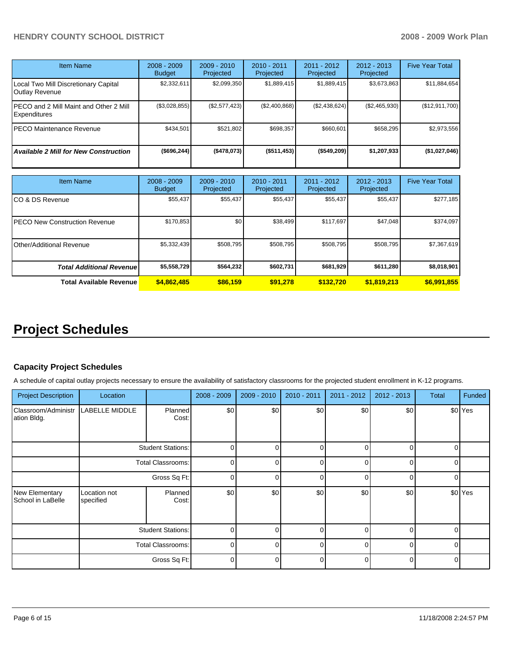# **HENDRY COUNTY SCHOOL DISTRICT 2008 - 2009 Work Plan**

| <b>Item Name</b>                                       | $2008 - 2009$<br><b>Budget</b> | $2009 - 2010$<br>Projected | $2010 - 2011$<br>Projected | $2011 - 2012$<br>Projected | $2012 - 2013$<br>Projected | <b>Five Year Total</b> |
|--------------------------------------------------------|--------------------------------|----------------------------|----------------------------|----------------------------|----------------------------|------------------------|
| Local Two Mill Discretionary Capital<br>Outlay Revenue | \$2,332,611                    | \$2,099,350                | \$1,889,415                | \$1,889,415                | \$3,673,863                | \$11,884,654           |
| PECO and 2 Mill Maint and Other 2 Mill<br>Expenditures | (\$3,028,855)                  | (\$2,577,423)              | (\$2,400,868)              | (\$2,438,624)              | (\$2,465,930)              | (\$12,911,700)         |
| <b>PECO Maintenance Revenue</b>                        | \$434.501                      | \$521,802                  | \$698,357                  | \$660.601                  | \$658,295                  | \$2,973,556            |
| <b>Available 2 Mill for New Construction</b>           | (\$696, 244)                   | ( \$478,073)               | (\$511,453)                | (\$549,209)                | \$1,207,933                | (\$1,027,046)          |

| <b>Item Name</b>                      | $2008 - 2009$<br><b>Budget</b> | $2009 - 2010$<br>Projected | 2010 - 2011<br>Projected | $2011 - 2012$<br>Projected | $2012 - 2013$<br>Projected | <b>Five Year Total</b> |
|---------------------------------------|--------------------------------|----------------------------|--------------------------|----------------------------|----------------------------|------------------------|
| ICO & DS Revenue                      | \$55,437                       | \$55,437                   | \$55,437                 | \$55,437                   | \$55,437                   | \$277,185              |
| <b>IPECO New Construction Revenue</b> | \$170,853                      | \$0                        | \$38,499                 | \$117,697                  | \$47.048                   | \$374,097              |
| IOther/Additional Revenue             | \$5,332,439                    | \$508,795                  | \$508,795                | \$508,795                  | \$508,795                  | \$7,367,619            |
| <b>Total Additional Revenuel</b>      | \$5,558,729                    | \$564,232                  | \$602,731                | \$681,929                  | \$611,280                  | \$8,018,901            |
| <b>Total Available Revenue</b>        | \$4,862,485                    | \$86,159                   | \$91.278                 | \$132.720                  | \$1,819,213                | \$6,991,855            |

# **Project Schedules**

# **Capacity Project Schedules**

A schedule of capital outlay projects necessary to ensure the availability of satisfactory classrooms for the projected student enrollment in K-12 programs.

| <b>Project Description</b>          | Location                                                             |                  | $2008 - 2009$ | $2009 - 2010$ | 2010 - 2011  | 2011 - 2012 | $2012 - 2013$ | Total    | Funded             |
|-------------------------------------|----------------------------------------------------------------------|------------------|---------------|---------------|--------------|-------------|---------------|----------|--------------------|
| Classroom/Administr<br>ation Bldg.  | LABELLE MIDDLE                                                       | Planned<br>Cost: | \$0           | \$0           | \$0          | \$0         | \$0           |          | \$0 Yes            |
|                                     | <b>Student Stations:</b><br><b>Total Classrooms:</b><br>Gross Sq Ft: |                  | 0             |               |              |             |               |          |                    |
|                                     |                                                                      |                  | $\Omega$      |               | $\Omega$     |             | $\Omega$      | $\Omega$ |                    |
|                                     |                                                                      |                  | $\Omega$      |               | U            |             | $\Omega$      | $\cap$   |                    |
| New Elementary<br>School in LaBelle | Location not<br>specified                                            | Planned<br>Cost: | \$0           | \$0           | \$0          | \$0         | \$0           |          | \$0 <sup>Yes</sup> |
|                                     | <b>Student Stations:</b>                                             |                  | $\Omega$      | <sup>n</sup>  | <sup>0</sup> |             | $\Omega$      | $\Omega$ |                    |
|                                     | <b>Total Classrooms:</b>                                             |                  | $\Omega$      |               | O            |             | $\Omega$      | $\cap$   |                    |
|                                     |                                                                      | Gross Sq Ft:     | $\Omega$      |               | $\Omega$     |             | $\Omega$      | $\Omega$ |                    |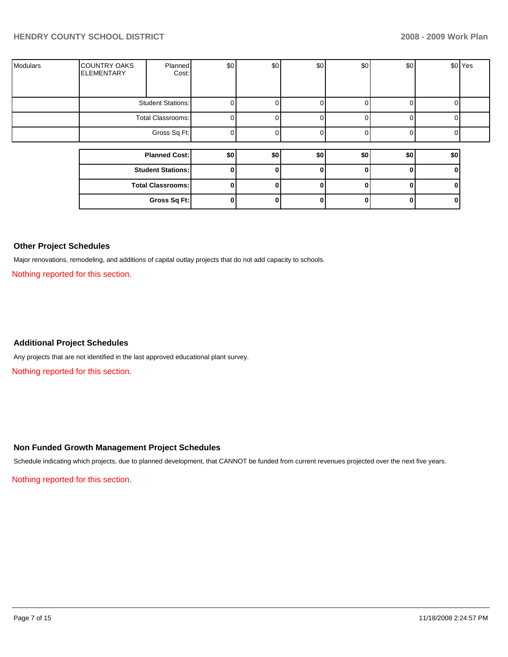| <b>Modulars</b> | <b>COUNTRY OAKS</b><br><b>ELEMENTARY</b> | Planned<br>Cost:         | \$0 | \$0 | \$0 | \$0 | \$0 |          | \$0 <sup>Yes</sup> |
|-----------------|------------------------------------------|--------------------------|-----|-----|-----|-----|-----|----------|--------------------|
|                 |                                          | <b>Student Stations:</b> |     |     |     |     |     | C        |                    |
|                 |                                          | Total Classrooms:        |     |     |     |     |     | $\Omega$ |                    |
|                 |                                          | Gross Sq Ft:             |     |     |     |     |     | ∩        |                    |
|                 |                                          | <b>Planned Cost:</b>     | \$0 | \$0 | \$0 | \$0 | \$0 | \$0      |                    |
|                 |                                          |                          |     |     |     |     |     |          |                    |
|                 |                                          | <b>Student Stations:</b> | 0   |     | 0   |     | 0   | 0        |                    |
|                 |                                          | <b>Total Classrooms:</b> | 0   |     | 0   |     | 0   | O        |                    |
|                 |                                          | Gross Sq Ft:             | ŋ   |     | 0   |     | 0   | 0        |                    |

# **Other Project Schedules**

Major renovations, remodeling, and additions of capital outlay projects that do not add capacity to schools.

Nothing reported for this section.

# **Additional Project Schedules**

Any projects that are not identified in the last approved educational plant survey.

Nothing reported for this section.

# **Non Funded Growth Management Project Schedules**

Schedule indicating which projects, due to planned development, that CANNOT be funded from current revenues projected over the next five years.

Nothing reported for this section.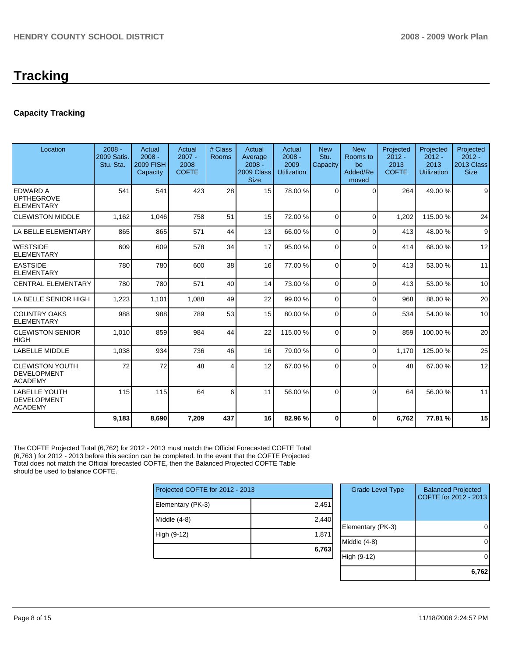# **Capacity Tracking**

| Location                                                       | $2008 -$<br>2009 Satis.<br>Stu. Sta. | Actual<br>$2008 -$<br><b>2009 FISH</b><br>Capacity | Actual<br>$2007 -$<br>2008<br><b>COFTE</b> | # Class<br>Rooms        | Actual<br>Average<br>$2008 -$<br>2009 Class<br><b>Size</b> | Actual<br>$2008 -$<br>2009<br><b>Utilization</b> | <b>New</b><br>Stu.<br>Capacity | <b>New</b><br>Rooms to<br>be<br>Added/Re<br>moved | Projected<br>$2012 -$<br>2013<br><b>COFTE</b> | Projected<br>$2012 -$<br>2013<br><b>Utilization</b> | Projected<br>$2012 -$<br>2013 Class<br><b>Size</b> |
|----------------------------------------------------------------|--------------------------------------|----------------------------------------------------|--------------------------------------------|-------------------------|------------------------------------------------------------|--------------------------------------------------|--------------------------------|---------------------------------------------------|-----------------------------------------------|-----------------------------------------------------|----------------------------------------------------|
| <b>EDWARD A</b><br><b>UPTHEGROVE</b><br><b>ELEMENTARY</b>      | 541                                  | 541                                                | 423                                        | 28                      | 15                                                         | 78.00 %                                          | $\Omega$                       | $\Omega$                                          | 264                                           | 49.00 %                                             | 9                                                  |
| <b>CLEWISTON MIDDLE</b>                                        | 1.162                                | 1,046                                              | 758                                        | 51                      | 15                                                         | 72.00 %                                          | $\Omega$                       | $\Omega$                                          | 1.202                                         | 115.00 %                                            | 24                                                 |
| LA BELLE ELEMENTARY                                            | 865                                  | 865                                                | 571                                        | 44                      | 13                                                         | 66.00 %                                          | $\Omega$                       | $\Omega$                                          | 413                                           | 48.00 %                                             | 9                                                  |
| <b>WESTSIDE</b><br><b>ELEMENTARY</b>                           | 609                                  | 609                                                | 578                                        | 34                      | 17                                                         | 95.00 %                                          | $\mathbf 0$                    | $\Omega$                                          | 414                                           | 68.00 %                                             | 12                                                 |
| <b>EASTSIDE</b><br><b>ELEMENTARY</b>                           | 780                                  | 780                                                | 600                                        | 38                      | 16                                                         | 77.00 %                                          | $\Omega$                       | $\Omega$                                          | 413                                           | 53.00 %                                             | 11                                                 |
| <b>CENTRAL ELEMENTARY</b>                                      | 780                                  | 780                                                | 571                                        | 40                      | 14                                                         | 73.00 %                                          | $\Omega$                       | $\Omega$                                          | 413                                           | 53.00 %                                             | 10                                                 |
| LA BELLE SENIOR HIGH                                           | 1,223                                | 1,101                                              | 1,088                                      | 49                      | 22                                                         | 99.00 %                                          | $\Omega$                       | $\Omega$                                          | 968                                           | 88.00 %                                             | 20                                                 |
| <b>COUNTRY OAKS</b><br><b>ELEMENTARY</b>                       | 988                                  | 988                                                | 789                                        | 53                      | 15                                                         | 80.00 %                                          | $\Omega$                       | $\Omega$                                          | 534                                           | 54.00 %                                             | 10                                                 |
| <b>CLEWISTON SENIOR</b><br><b>HIGH</b>                         | 1.010                                | 859                                                | 984                                        | 44                      | 22                                                         | 115.00 %                                         | $\Omega$                       | $\Omega$                                          | 859                                           | 100.00%                                             | 20                                                 |
| <b>LABELLE MIDDLE</b>                                          | 1,038                                | 934                                                | 736                                        | 46                      | 16 <sup>1</sup>                                            | 79.00 %                                          | $\Omega$                       | $\Omega$                                          | 1.170                                         | 125.00 %                                            | 25                                                 |
| <b>CLEWISTON YOUTH</b><br><b>DEVELOPMENT</b><br><b>ACADEMY</b> | 72                                   | 72                                                 | 48                                         | $\overline{\mathbf{4}}$ | 12                                                         | 67.00 %                                          | $\Omega$                       | $\Omega$                                          | 48                                            | 67.00 %                                             | 12                                                 |
| <b>LABELLE YOUTH</b><br><b>DEVELOPMENT</b><br><b>ACADEMY</b>   | 115                                  | 115                                                | 64                                         | 6                       | 11                                                         | 56.00 %                                          | $\Omega$                       | $\Omega$                                          | 64                                            | 56.00 %                                             | 11                                                 |
|                                                                | 9,183                                | 8,690                                              | 7,209                                      | 437                     | 16                                                         | 82.96 %                                          | 0                              | 0                                                 | 6,762                                         | 77.81 %                                             | 15                                                 |

The COFTE Projected Total (6,762) for 2012 - 2013 must match the Official Forecasted COFTE Total (6,763 ) for 2012 - 2013 before this section can be completed. In the event that the COFTE Projected Total does not match the Official forecasted COFTE, then the Balanced Projected COFTE Table should be used to balance COFTE.

| Projected COFTE for 2012 - 2013 |       |  |  |  |  |
|---------------------------------|-------|--|--|--|--|
| Elementary (PK-3)               | 2,451 |  |  |  |  |
| Middle $(4-8)$                  | 2,440 |  |  |  |  |
| High (9-12)                     | 1,871 |  |  |  |  |
|                                 | 6,763 |  |  |  |  |

| <b>Grade Level Type</b> | <b>Balanced Projected</b><br>COFTE for 2012 - 2013 |
|-------------------------|----------------------------------------------------|
| Elementary (PK-3)       |                                                    |
| Middle $(4-8)$          |                                                    |
| High (9-12)             |                                                    |
|                         | 6.762                                              |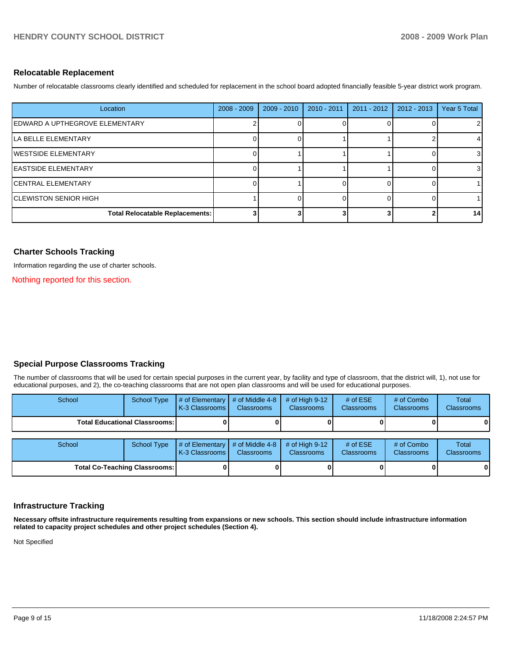#### **Relocatable Replacement**

Number of relocatable classrooms clearly identified and scheduled for replacement in the school board adopted financially feasible 5-year district work program.

| Location                               | $2008 - 2009$ | $2009 - 2010$ | 2010 - 2011 | 2011 - 2012 | $2012 - 2013$ | Year 5 Total |
|----------------------------------------|---------------|---------------|-------------|-------------|---------------|--------------|
| IEDWARD A UPTHEGROVE ELEMENTARY        |               |               |             |             |               | 2            |
| <b>ILA BELLE ELEMENTARY</b>            |               |               |             |             |               | 4            |
| <b>IWESTSIDE ELEMENTARY</b>            |               |               |             |             |               | 3            |
| <b>IEASTSIDE ELEMENTARY</b>            |               |               |             |             |               | 3            |
| ICENTRAL ELEMENTARY                    |               |               |             |             |               |              |
| ICLEWISTON SENIOR HIGH                 |               |               |             |             |               |              |
| <b>Total Relocatable Replacements:</b> |               |               |             |             |               | 14           |

# **Charter Schools Tracking**

Information regarding the use of charter schools.

Nothing reported for this section.

# **Special Purpose Classrooms Tracking**

The number of classrooms that will be used for certain special purposes in the current year, by facility and type of classroom, that the district will, 1), not use for educational purposes, and 2), the co-teaching classrooms that are not open plan classrooms and will be used for educational purposes.

| School                               | <b>School Type</b> | # of Elementary<br>K-3 Classrooms | # of Middle 4-8<br><b>Classrooms</b> | # of High $9-12$<br><b>Classrooms</b> | # of $ESE$<br><b>Classrooms</b> | # of Combo<br><b>Classrooms</b> | Total<br><b>Classrooms</b> |
|--------------------------------------|--------------------|-----------------------------------|--------------------------------------|---------------------------------------|---------------------------------|---------------------------------|----------------------------|
| <b>Total Educational Classrooms:</b> |                    |                                   |                                      |                                       |                                 |                                 | 01                         |
| School                               | <b>School Type</b> | # of Elementary<br>K-3 Classrooms | # of Middle 4-8<br><b>Classrooms</b> | # of High $9-12$<br><b>Classrooms</b> | # of $ESE$<br>Classrooms        | # of Combo<br><b>Classrooms</b> | Total<br><b>Classrooms</b> |
| <b>Total Co-Teaching Classrooms:</b> |                    |                                   |                                      | 01                                    |                                 |                                 | 01                         |

#### **Infrastructure Tracking**

**Necessary offsite infrastructure requirements resulting from expansions or new schools. This section should include infrastructure information related to capacity project schedules and other project schedules (Section 4).** 

Not Specified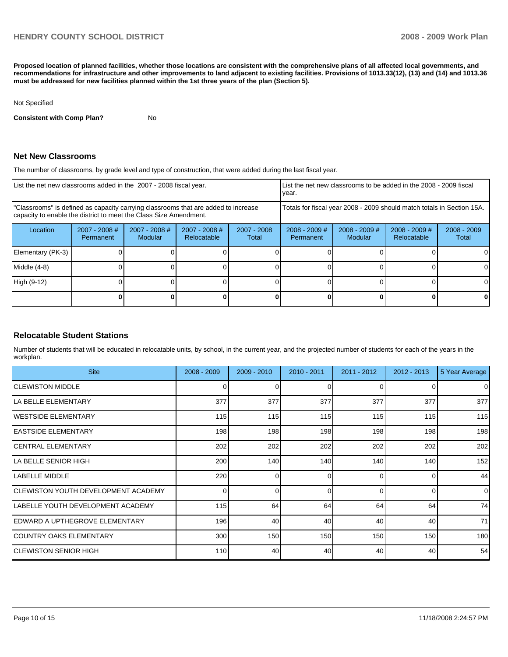**Proposed location of planned facilities, whether those locations are consistent with the comprehensive plans of all affected local governments, and recommendations for infrastructure and other improvements to land adjacent to existing facilities. Provisions of 1013.33(12), (13) and (14) and 1013.36 must be addressed for new facilities planned within the 1st three years of the plan (Section 5).** 

#### Not Specified

**Consistent with Comp Plan?** No

## **Net New Classrooms**

The number of classrooms, by grade level and type of construction, that were added during the last fiscal year.

| List the net new classrooms added in the 2007 - 2008 fiscal year.                                                                                       |                              |                            |                                |                        | List the net new classrooms to be added in the 2008 - 2009 fiscal<br>year. |                                   |                                |                        |  |
|---------------------------------------------------------------------------------------------------------------------------------------------------------|------------------------------|----------------------------|--------------------------------|------------------------|----------------------------------------------------------------------------|-----------------------------------|--------------------------------|------------------------|--|
| "Classrooms" is defined as capacity carrying classrooms that are added to increase<br>capacity to enable the district to meet the Class Size Amendment. |                              |                            |                                |                        | Totals for fiscal year 2008 - 2009 should match totals in Section 15A.     |                                   |                                |                        |  |
| Location                                                                                                                                                | $2007 - 2008$ #<br>Permanent | $2007 - 2008$ #<br>Modular | $2007 - 2008$ #<br>Relocatable | $2007 - 2008$<br>Total | $2008 - 2009$ #<br>Permanent                                               | $2008 - 2009$ #<br><b>Modular</b> | $2008 - 2009$ #<br>Relocatable | $2008 - 2009$<br>Total |  |
| Elementary (PK-3)                                                                                                                                       |                              |                            |                                |                        |                                                                            |                                   |                                | 0                      |  |
| Middle (4-8)                                                                                                                                            |                              |                            |                                |                        |                                                                            |                                   |                                | 0                      |  |
| High (9-12)                                                                                                                                             |                              |                            |                                |                        |                                                                            |                                   |                                | 0                      |  |
|                                                                                                                                                         |                              |                            |                                |                        |                                                                            |                                   |                                | 0                      |  |

#### **Relocatable Student Stations**

Number of students that will be educated in relocatable units, by school, in the current year, and the projected number of students for each of the years in the workplan.

| <b>Site</b>                               | $2008 - 2009$ | $2009 - 2010$ | $2010 - 2011$ | $2011 - 2012$ | $2012 - 2013$ | 5 Year Average |
|-------------------------------------------|---------------|---------------|---------------|---------------|---------------|----------------|
| <b>ICLEWISTON MIDDLE</b>                  | 0             |               | 0             | $\Omega$      |               | $\Omega$       |
| <b>LA BELLE ELEMENTARY</b>                | 377           | 377           | 377           | 377           | 377           | 377            |
| <b>IWESTSIDE ELEMENTARY</b>               | 115           | 115           | 115           | 115           | 115           | 115            |
| <b>IEASTSIDE ELEMENTARY</b>               | 198           | 198           | 198           | 198           | 198           | 198            |
| ICENTRAL ELEMENTARY                       | 202           | 202           | 202           | 202           | 202           | 202            |
| ILA BELLE SENIOR HIGH                     | 200           | 140           | 140           | 140           | 140           | 152            |
| <b>I</b> LABELLE MIDDLE                   | 220           | ∩             | ∩             | $\Omega$      |               | 44             |
| ICLEWISTON YOUTH DEVELOPMENT ACADEMY      | 0             | ∩             | U             | $\Omega$      |               | $\Omega$       |
| <b>ILABELLE YOUTH DEVELOPMENT ACADEMY</b> | 115           | 64            | 64            | 64            | 64            | 74             |
| lEDWARD A UPTHEGROVE ELEMENTARY           | 196           | 40            | 40            | 40            | 40            | 71             |
| COUNTRY OAKS ELEMENTARY                   | 300           | 150           | 150           | 150           | 150           | 180            |
| <b>CLEWISTON SENIOR HIGH</b>              | 110           | 40            | 40            | 40            | 40            | 54             |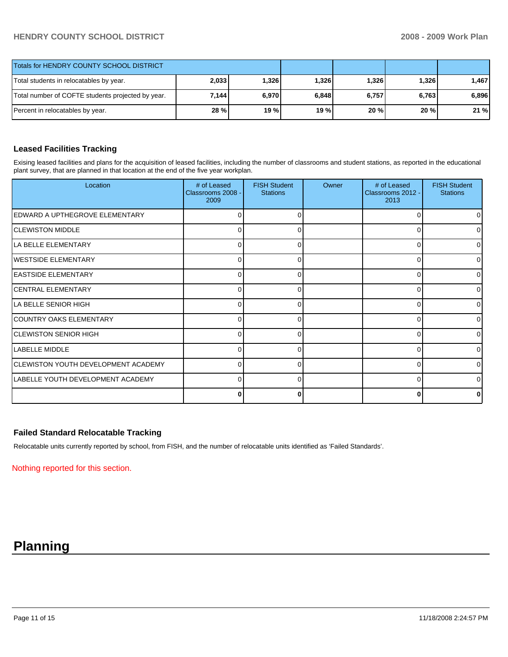# **HENDRY COUNTY SCHOOL DISTRICT 2008 - 2009 Work Plan**

| Totals for HENDRY COUNTY SCHOOL DISTRICT          |             |       |       |       |       |       |
|---------------------------------------------------|-------------|-------|-------|-------|-------|-------|
| Total students in relocatables by year.           | 2,033       | 1,326 | 1,326 | 1,326 | 1,326 | 1.467 |
| Total number of COFTE students projected by year. | 7,144       | 6,970 | 6,848 | 6,757 | 6,763 | 6.896 |
| Percent in relocatables by year.                  | <b>28 %</b> | 19 %  | 19 %  | 20%   | 20%   | 21%   |

# **Leased Facilities Tracking**

Exising leased facilities and plans for the acquisition of leased facilities, including the number of classrooms and student stations, as reported in the educational plant survey, that are planned in that location at the end of the five year workplan.

| Location                                   | # of Leased<br>Classrooms 2008 -<br>2009 | <b>FISH Student</b><br><b>Stations</b> | Owner | # of Leased<br>Classrooms 2012 -<br>2013 | <b>FISH Student</b><br><b>Stations</b> |
|--------------------------------------------|------------------------------------------|----------------------------------------|-------|------------------------------------------|----------------------------------------|
| EDWARD A UPTHEGROVE ELEMENTARY             | 0                                        | 0                                      |       | 0                                        |                                        |
| <b>CLEWISTON MIDDLE</b>                    | 0                                        | ∩                                      |       | 0                                        |                                        |
| LA BELLE ELEMENTARY                        | 0                                        | 0                                      |       | 0                                        | 0                                      |
| <b>IWESTSIDE ELEMENTARY</b>                | $\Omega$                                 | ∩                                      |       | 0                                        | $\Omega$                               |
| <b>EASTSIDE ELEMENTARY</b>                 | 0                                        | 0                                      |       | $\Omega$                                 | $\Omega$                               |
| <b>CENTRAL ELEMENTARY</b>                  | $\Omega$                                 | O                                      |       | $\Omega$                                 | $\Omega$                               |
| LA BELLE SENIOR HIGH                       | 0                                        | 0                                      |       | 0                                        | <sup>0</sup>                           |
| COUNTRY OAKS ELEMENTARY                    | 0                                        | ∩                                      |       | $\Omega$                                 | ∩                                      |
| <b>CLEWISTON SENIOR HIGH</b>               | 0                                        |                                        |       | $\Omega$                                 |                                        |
| LABELLE MIDDLE                             | $\Omega$                                 | ∩                                      |       | $\Omega$                                 | ∩                                      |
| <b>CLEWISTON YOUTH DEVELOPMENT ACADEMY</b> | 0                                        |                                        |       | $\Omega$                                 |                                        |
| <b>ILABELLE YOUTH DEVELOPMENT ACADEMY</b>  | $\Omega$                                 | ∩                                      |       | $\Omega$                                 |                                        |
|                                            | 0                                        |                                        |       | $\bf{0}$                                 |                                        |

#### **Failed Standard Relocatable Tracking**

Relocatable units currently reported by school, from FISH, and the number of relocatable units identified as 'Failed Standards'.

Nothing reported for this section.

# **Planning**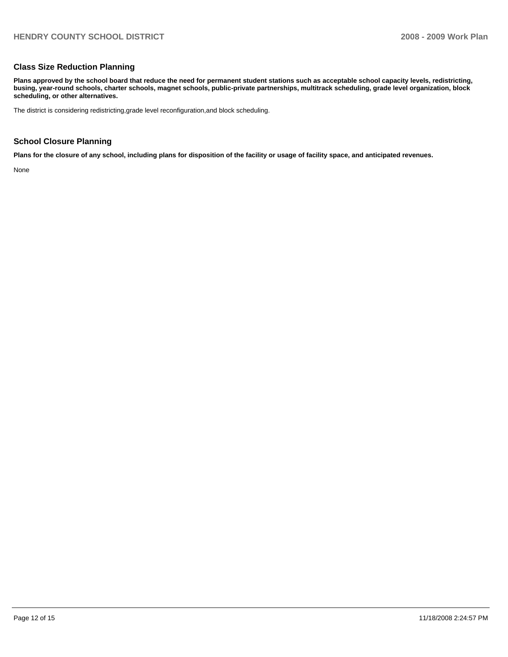# **Class Size Reduction Planning**

**Plans approved by the school board that reduce the need for permanent student stations such as acceptable school capacity levels, redistricting, busing, year-round schools, charter schools, magnet schools, public-private partnerships, multitrack scheduling, grade level organization, block scheduling, or other alternatives.** 

The district is considering redistricting,grade level reconfiguration,and block scheduling.

# **School Closure Planning**

**Plans for the closure of any school, including plans for disposition of the facility or usage of facility space, and anticipated revenues.** 

None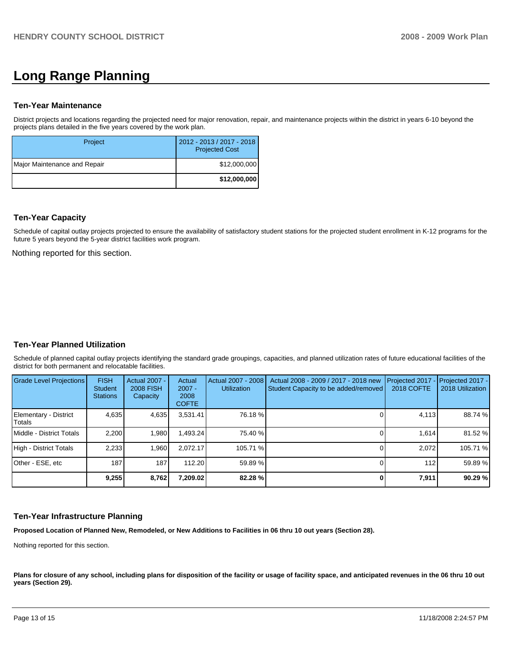# **Long Range Planning**

#### **Ten-Year Maintenance**

District projects and locations regarding the projected need for major renovation, repair, and maintenance projects within the district in years 6-10 beyond the projects plans detailed in the five years covered by the work plan.

| Project                      | 2012 - 2013 / 2017 - 2018<br><b>Projected Cost</b> |
|------------------------------|----------------------------------------------------|
| Major Maintenance and Repair | \$12,000,000                                       |
|                              | \$12,000,000                                       |

#### **Ten-Year Capacity**

Schedule of capital outlay projects projected to ensure the availability of satisfactory student stations for the projected student enrollment in K-12 programs for the future 5 years beyond the 5-year district facilities work program.

Nothing reported for this section.

# **Ten-Year Planned Utilization**

Schedule of planned capital outlay projects identifying the standard grade groupings, capacities, and planned utilization rates of future educational facilities of the district for both permanent and relocatable facilities.

| Grade Level Projections         | <b>FISH</b><br><b>Student</b><br><b>Stations</b> | <b>Actual 2007 -</b><br><b>2008 FISH</b><br>Capacity | Actual<br>$2007 -$<br>2008<br><b>COFTE</b> | Actual 2007 - 2008<br><b>Utilization</b> | Actual 2008 - 2009 / 2017 - 2018 new<br>Student Capacity to be added/removed | Projected 2017 - Projected 2017 -<br><b>2018 COFTE</b> | 2018 Utilization |
|---------------------------------|--------------------------------------------------|------------------------------------------------------|--------------------------------------------|------------------------------------------|------------------------------------------------------------------------------|--------------------------------------------------------|------------------|
| Elementary - District<br>Totals | 4,635                                            | 4,635                                                | 3,531.41                                   | 76.18 %                                  |                                                                              | 4,113                                                  | 88.74 %          |
| Middle - District Totals        | 2.200                                            | 1,980                                                | .493.24                                    | 75.40 %                                  |                                                                              | 1.614                                                  | 81.52 %          |
| High - District Totals          | 2.233                                            | 1,960                                                | 2.072.17                                   | 105.71 %                                 |                                                                              | 2.072                                                  | 105.71 %         |
| Other - ESE, etc                | 187                                              | 187                                                  | 112.20                                     | 59.89 %                                  |                                                                              | 112                                                    | 59.89 %          |
|                                 | 9.255                                            | 8,762                                                | 7.209.02                                   | 82.28 %                                  |                                                                              | 7,911                                                  | 90.29 %          |

#### **Ten-Year Infrastructure Planning**

**Proposed Location of Planned New, Remodeled, or New Additions to Facilities in 06 thru 10 out years (Section 28).** 

Nothing reported for this section.

Plans for closure of any school, including plans for disposition of the facility or usage of facility space, and anticipated revenues in the 06 thru 10 out **years (Section 29).**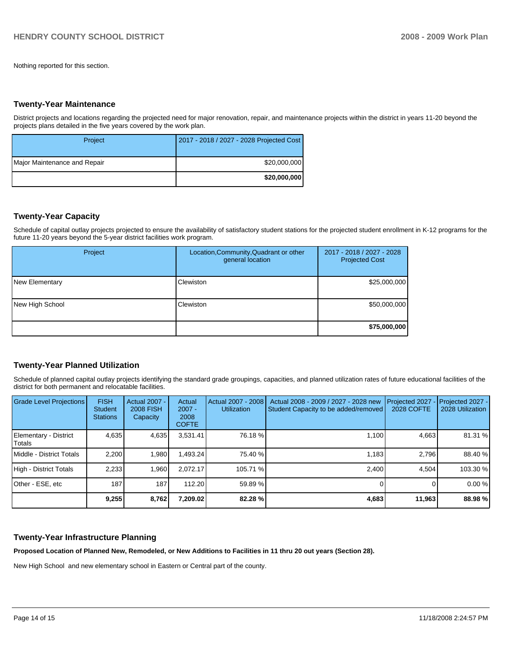Nothing reported for this section.

#### **Twenty-Year Maintenance**

District projects and locations regarding the projected need for major renovation, repair, and maintenance projects within the district in years 11-20 beyond the projects plans detailed in the five years covered by the work plan.

| Project                      | 2017 - 2018 / 2027 - 2028 Projected Cost |
|------------------------------|------------------------------------------|
| Major Maintenance and Repair | \$20,000,000                             |
|                              | \$20,000,000                             |

# **Twenty-Year Capacity**

Schedule of capital outlay projects projected to ensure the availability of satisfactory student stations for the projected student enrollment in K-12 programs for the future 11-20 years beyond the 5-year district facilities work program.

| Project         | Location, Community, Quadrant or other<br>general location | 2017 - 2018 / 2027 - 2028<br><b>Projected Cost</b> |
|-----------------|------------------------------------------------------------|----------------------------------------------------|
| New Elementary  | Clewiston                                                  | \$25,000,000                                       |
| New High School | Clewiston                                                  | \$50,000,000                                       |
|                 |                                                            | \$75,000,000                                       |

# **Twenty-Year Planned Utilization**

Schedule of planned capital outlay projects identifying the standard grade groupings, capacities, and planned utilization rates of future educational facilities of the district for both permanent and relocatable facilities.

| <b>Grade Level Projections</b>  | <b>FISH</b><br>Student<br><b>Stations</b> | <b>Actual 2007 -</b><br>2008 FISH<br>Capacity | Actual<br>$2007 -$<br>2008<br><b>COFTE</b> | Actual 2007 - 2008<br><b>Utilization</b> | Actual 2008 - 2009 / 2027 - 2028 new<br>Student Capacity to be added/removed | Projected 2027<br>2028 COFTE | Projected 2027 -<br>2028 Utilization |
|---------------------------------|-------------------------------------------|-----------------------------------------------|--------------------------------------------|------------------------------------------|------------------------------------------------------------------------------|------------------------------|--------------------------------------|
| Elementary - District<br>Totals | 4,635                                     | 4,635                                         | 3,531.41                                   | 76.18 %                                  | 1,100                                                                        | 4,663                        | 81.31 %                              |
| Middle - District Totals        | 2.200                                     | 1,980                                         | 1.493.24                                   | 75.40 %                                  | 1.183                                                                        | 2.796                        | 88.40 %                              |
| High - District Totals          | 2,233                                     | 1,960                                         | 2.072.17                                   | 105.71 %                                 | 2.400                                                                        | 4.504                        | 103.30 %                             |
| Other - ESE, etc                | 187                                       | 187                                           | 112.20                                     | 59.89 %                                  |                                                                              |                              | 0.00%                                |
|                                 | 9,255                                     | 8,762                                         | 7,209.02                                   | 82.28 %                                  | 4,683                                                                        | 11,963                       | 88.98 %                              |

#### **Twenty-Year Infrastructure Planning**

**Proposed Location of Planned New, Remodeled, or New Additions to Facilities in 11 thru 20 out years (Section 28).** 

New High School and new elementary school in Eastern or Central part of the county.